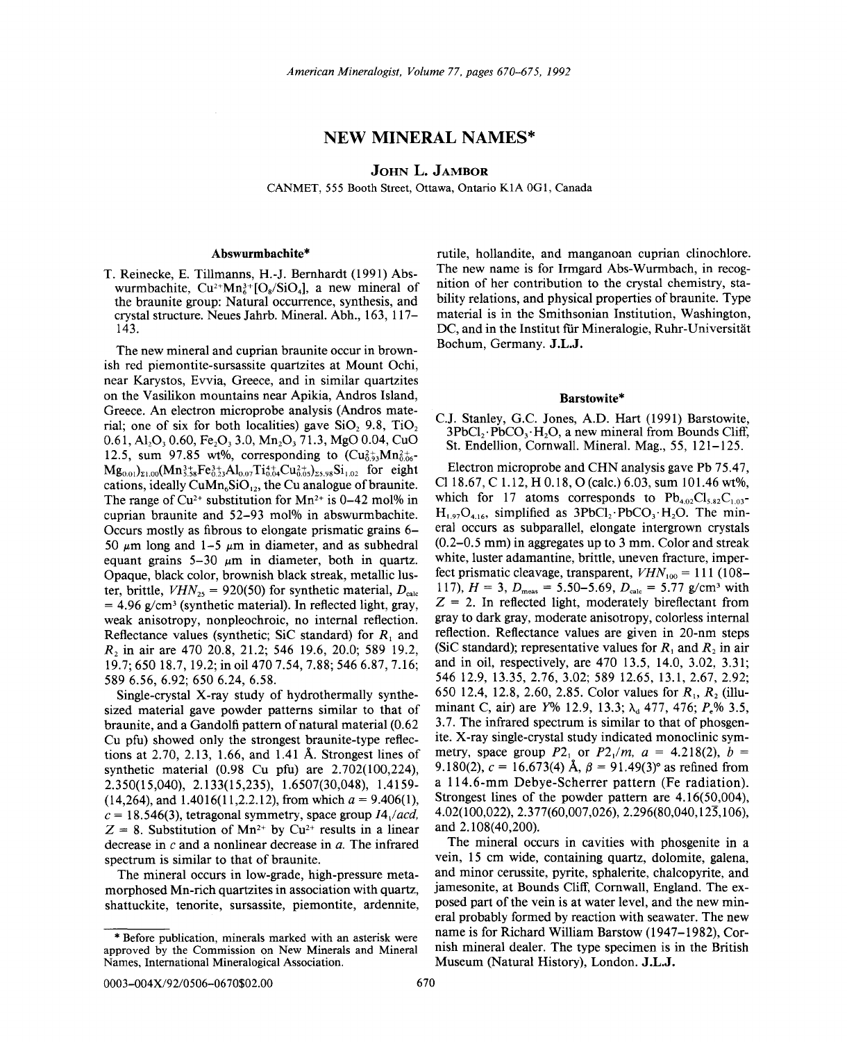# NEW **MINERAL** NAMES\*

JOHN L. JAMBOR

CANMET, 555 Booth Street, Ottawa, Ontario KIA OGI, Canada

# Abswurmbachite\*

T. Reinecke, E. Tillmanns, H.-J. Bernhardt (1991) Abswurmbachite,  $Cu^{2+}Mn_{6}^{3+}[O_{8}/SiO_{4}]$ , a new mineral of the braunite group: Natural occurrence, synthesis, and crystal structure. Neues Jahrb. Mineral. Abh., 163, 117- 143.

The new mineral and cuprian braunite occur in brownish red piemontite-sursassite quartzites at Mount Ochi, near Karystos, Evvia, Greece, and in similar quartzites on the Vasilikon mountains near Apikia, Andros Island, Greece. An electron microprobe analysis (Andros material; one of six for both localities) gave SiO, 9.8, TiO. 0.61, Al<sub>2</sub>O<sub>3</sub> 0.60, Fe<sub>2</sub>O<sub>3</sub> 3.0, Mn<sub>2</sub>O<sub>3</sub> 71.3, MgO 0.04, CuO 12.5, sum 97.85 wt%, corresponding to  $(Cu_{0.9}^{2+}Mn_{0.06}^{2+})$  $Mg_{0.01}$ <sub>21.00</sub>(Mn<sup>3+</sup><sub>3.58</sub>Fe<sup>3+</sup><sub>3</sub>Al<sub>0.07</sub>Ti<sup>4+</sup><sub>1</sub>Cu<sup>2+</sup><sub>0.05</sub>)<sub>25.98</sub>Si<sub>1.02</sub> for eight cations, ideally  $CuMn<sub>6</sub>SiO<sub>12</sub>$ , the Cu analogue of braunite. The range of  $Cu^{2+}$  substitution for Mn<sup>2+</sup> is 0-42 mol% in cuprian braunite and 52-93 mol% in abswurmbachite. Occurs mostly as fibrous to elongate prismatic grains 6- 50  $\mu$ m long and 1-5  $\mu$ m in diameter, and as subhedral equant grains  $5-30 \mu m$  in diameter, both in quartz. Opaque, black color, brownish black streak, metallic luster, brittle,  $VHN_{25} = 920(50)$  for synthetic material,  $D_{\text{calc}}$  $= 4.96$  g/cm<sup>3</sup> (synthetic material). In reflected light, gray, weak anisotropy, nonpleochroic, no internal reflection. Reflectance values (synthetic; SiC standard) for  $R_1$  and *R2* in air are 470 20.8, 21.2; 546 19.6, 20.0; 589 19.2, 19.7; 650 18.7, 19.2; in oil 470 7.54, 7.88; 546 6.87, 7.16; 589 6.56, 6.92; 650 6.24, 6.58.

Single-crystal X-ray study of hydrothermally synthesized material gave powder patterns similar to that of braunite, and a Gandolfi pattern of natural material (0.62 Cu pfu) showed only the strongest braunite-type reflections at 2.70, 2.13, 1.66, and 1.41 A. Strongest lines of synthetic material (0.98 Cu pfu) are 2.702(100,224), 2.350(15,040), 2.133(15,235), 1.6507(30,048), 1.4159-  $(14,264)$ , and  $1.4016(11,2.2.12)$ , from which  $a = 9.406(1)$ ,  $c = 18.546(3)$ , tetragonal symmetry, space group  $I4_1/acd$ ,  $Z = 8$ . Substitution of Mn<sup>2+</sup> by Cu<sup>2+</sup> results in a linear decrease in c and a nonlinear decrease in *a.* The infrared spectrum is similar to that of braunite.

The mineral occurs in low-grade, high-pressure metamorphosed Mn-rich quartzites in association with quartz, shattuckite, tenorite, sursassite, piemontite, ardennite, rutile, hollandite, and manganoan cuprian clinochlore. The new name is for Irmgard Abs-Wurmbach, in recognition of her contribution to the crystal chemistry, stability relations, and physical properties of braunite. Type material is in the Smithsonian Institution, Washington, DC, and in the Institut für Mineralogie, Ruhr-Universität Bochum, Germany. J.L.J.

#### Barstowite\*

C,J. Stanley, G.c. Jones, A.D. Hart (1991) Barstowite,  $3PbCl<sub>2</sub>$ . PbCO<sub>3</sub>. H<sub>2</sub>O, a new mineral from Bounds Cliff, St. Endellion, Cornwall. Mineral. Mag., 55, 121-125.

Electron microprobe and CHN analysis gave Pb 75.47, CI18.67, C 1.12, H 0.18, 0 (calc.) 6.03, sum 101.46 wt%, which for 17 atoms corresponds to  $Pb_{4.02}Cl_{5.82}C_{1.03}$ - $H_{1.97}O_{4.16}$ , simplified as 3PbCl<sub>2</sub>. PbCO<sub>3</sub>. H<sub>2</sub>O. The mineral occurs as subparallel, elongate intergrown crystals (0.2-0.5 mm) in aggregates up to 3 mm. Color and streak white, luster adamantine, brittle, uneven fracture, imperfect prismatic cleavage, transparent,  $VHN<sub>100</sub> = 111 (108-$ 117),  $H = 3$ ,  $D_{\text{meas}} = 5.50 - 5.69$ ,  $D_{\text{calc}} = 5.77$  g/cm<sup>3</sup> with  $Z = 2$ . In reflected light, moderately bireflectant from gray to dark gray, moderate anisotropy, colorless internal reflection. Reflectance values are given in 20-nm steps (SiC standard); representative values for  $R_1$  and  $R_2$  in air and in oil, respectively, are 470 13.5, 14.0, 3.02, 3.31; 546 12.9, 13.35,2.76,3.02; 589 12.65, 13.1,2.67,2.92; 650 12.4, 12.8, 2.60, 2.85. Color values for *R1, R2* (illuminant C, air) are *Y%* 12.9, 13.3; λ<sub>α</sub> 477, 476; *P<sub>ε</sub>%* 3.5, 3.7. The infrared spectrum is similar to that of phosgenite. X-ray single-crystal study indicated monoclinic symmetry, space group  $P2_1$  or  $P2_1/m$ ,  $a = 4.218(2)$ ,  $b =$ 9.180(2),  $c = 16.673(4)$  Å,  $\beta = 91.49(3)$ ° as refined from a 114.6-mm Debye-Scherrer pattern (Fe radiation). Strongest lines of the powder pattern are 4.16(50,004), 4.02( 100,022), 2.3 77(60,007,026), 2.296(80,040,125,106), and 2.108(40,200).

The mineral occurs in cavities with phosgenite in a vein, 15 cm wide, containing quartz, dolomite, galena, and minor cerussite, pyrite, sphalerite, chalcopyrite, and jamesonite, at Bounds Cliff, Cornwall, England. The exposed part of the vein is at water level, and the new mineral probably formed by reaction with seawater. The new name is for Richard William Barstow (1947-1982), Cornish mineral dealer. The type specimen is in the British Museum (Natural History), London. J.L.J.

approved by the Commission on New Minerals and Mineral Before publication, minerals marked with an asterisk were Names, International Mineralogical Association.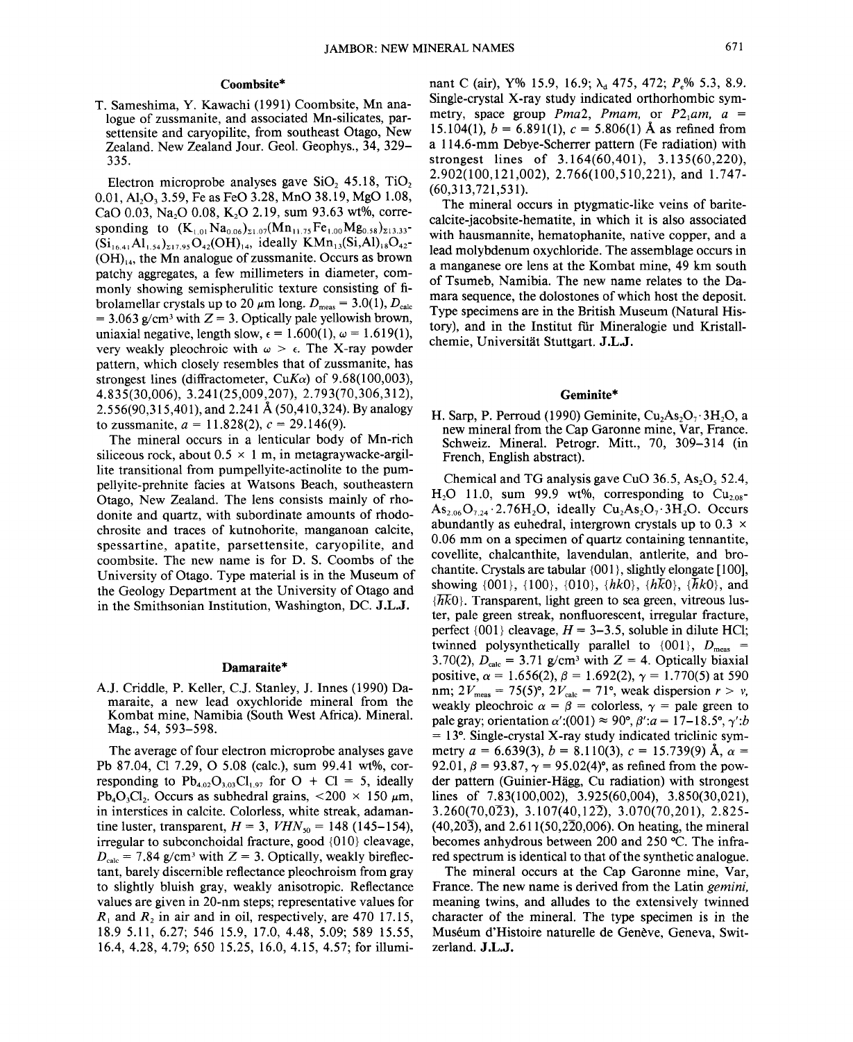# **Coombsite\***

T. Sameshima, Y. Kawachi (1991) Coombsite, Mn analogue of zussmanite, and associated Mn-silicates, parsettensite and caryopilite, from southeast Otago, New Zealand. New Zealand Jour. Geol. Geophys., 34, 329- 335.

Electron microprobe analyses gave  $SiO$ ,  $45.18$ ,  $TiO$ , 0.01, Al<sub>2</sub>O<sub>3</sub> 3.59, Fe as FeO 3.28, MnO 38.19, MgO 1.08, CaO 0.03, Na<sub>2</sub>O 0.08, K<sub>2</sub>O 2.19, sum 93.63 wt%, corresponding to  $(K_{1,01}Na_{0,06})_{\Sigma1,07}(Mn_{11,75}Fe_{1,00}Mg_{0.58})_{\Sigma13,33}$ - $(Si_{16,41}Al_{1,54})_{217,95}O_{42}(OH)_{14}$ , ideally  $KMn_{13}(Si,Al)_{18}O_{42}$ - $(OH)_{14}$ , the Mn analogue of zussmanite. Occurs as brown patchy aggregates, a few millimeters in diameter, commonly showing semispherulitic texture consisting of fibrolamellar crystals up to 20  $\mu$ m long.  $D_{\text{meas}} = 3.0(1), D_{\text{calc}}$  $= 3.063$  g/cm<sup>3</sup> with  $Z = 3$ . Optically pale yellowish brown, uniaxial negative, length slow,  $\epsilon = 1.600(1)$ ,  $\omega = 1.619(1)$ , very weakly pleochroic with  $\omega > \epsilon$ . The X-ray powder pattern, which closely resembles that of zussmanite, has strongest lines (diffractometer,  $CuK\alpha$ ) of 9.68(100,003), 4.835(30,006), 3.241 (25,009,207), 2.793(70,306,312), 2.556(90,315,401), and 2.241 A (50,410,324). By analogy to zussmanite,  $a = 11.828(2)$ ,  $c = 29.146(9)$ .

The mineral occurs in a lenticular body of Mn-rich siliceous rock, about  $0.5 \times 1$  m, in metagraywacke-argillite transitional from pumpellyite-actinolite to the pumpellyite-prehnite facies at Watsons Beach, southeastern Otago, New Zealand. The lens consists mainly of rhodonite and quartz, with subordinate amounts of rhodochrosite and traces of kutnohorite, manganoan calcite, spessartine, apatite, parsettensite, caryopilite, and coombsite. The new name is for D. S. Coombs of the University of Otago. Type material is in the Museum of the Geology Department at the University of Otago and in the Smithsonian Institution, Washington, DC. **J.L.J.**

#### **Damaraite\***

AJ. Criddle, P. Keller, c.J. Stanley, J. Innes (1990) Damaraite, a new lead oxychloride mineral from the Kombat mine, Namibia (South West Africa). Mineral. Mag., 54, 593-598.

The average of four electron microprobe analyses gave Pb 87.04, Cl 7.29, 0 5.08 (calc.), sum 99.41 wt%, corresponding to  $Pb_{4.02}O_{3.03}Cl_{1.97}$  for  $O + Cl = 5$ , ideally  $Pb_4O_3Cl_2$ . Occurs as subhedral grains, <200 × 150  $\mu$ m, in interstices in calcite. Colorless, white streak, adamantine luster, transparent,  $H = 3$ ,  $VHN<sub>50</sub> = 148 (145–154)$ , irregular to subconchoidal fracture, good {01O} cleavage,  $D_{\text{calc}}$  = 7.84 g/cm<sup>3</sup> with Z = 3. Optically, weakly bireflectant, barely discernible reflectance pleochroism from gray to slightly bluish gray, weakly anisotropic. Reflectance values are given in 20-nm steps; representative values for  $R_1$  and  $R_2$  in air and in oil, respectively, are 470 17.15, 18.9 5.11, 6.27; 546 15.9, 17.0, 4.48, 5.09; 589 15.55, 16.4, 4.28, 4.79; 650 15.25, 16.0, 4.15, 4.57; for illuminant C (air), Y% 15.9, 16.9; λ<sub>α</sub> 475, 472; *P<sub>r</sub>*% 5.3, 8.9. Single-crystal X-ray study indicated orthorhombic symmetry, space group *Pma2*, *Pmam*, or  $P2_1$ *am*,  $a =$ 15.104(1),  $b = 6.891(1)$ ,  $c = 5.806(1)$  Å as refined from a l14.6-mm Debye-Scherrer pattern (Fe radiation) with strongest lines of 3.164(60,401), 3.135(60,220), 2.902(100,121,002),2.766(100,510,221), and 1.747- (60,313,721,531).

The mineral occurs in ptygmatic-like veins of baritecalcite-jacobsite-hematite, in which it is also associated with hausmannite, hematophanite, native copper, and a lead molybdenum oxychloride. The assemblage occurs in a manganese ore lens at the Kombat mine, 49 km south of Tsumeb, Namibia. The new name relates to the Damara sequence, the dolostones of which host the deposit. Type specimens are in the British Museum (Natural History), and in the Institut für Mineralogie und Kristallchemie, Universitat Stuttgart. **J.L.J.**

# **Geminite\***

H. Sarp, P. Perroud (1990) Geminite,  $Cu<sub>2</sub>As<sub>2</sub>O<sub>7</sub>·3H<sub>2</sub>O$ , a new mineral from the Cap Garonne mine, Var, France. Schweiz. Mineral. Petrogr. Mitt., 70, 309-314 (in French, English abstract).

Chemical and TG analysis gave CuO  $36.5$ , As<sub>2</sub>O<sub>5</sub> 52.4,  $H<sub>2</sub>O$  11.0, sum 99.9 wt%, corresponding to  $Cu<sub>2.08</sub>$  $As_{2.06}O_{7.24}$  2.76H<sub>2</sub>O, ideally  $Cu_{2}As_{2}O_{7}$  3H<sub>2</sub>O. Occurs abundantly as euhedral, intergrown crystals up to  $0.3 \times$ 0.06 mm on a specimen of quartz containing tennantite, covellite, chalcanthite, lavendulan, antlerite, and brochantite. Crystals are tabular {001}, slightly elongate [100], showing {001}, {l00}, {01O}, *{hkO}, {hKO}, aikO},* and  $\{\overline{hk}0\}$ . Transparent, light green to sea green, vitreous luster, pale green streak, nonfluorescent, irregular fracture, perfect  $\{001\}$  cleavage,  $H = 3-3.5$ , soluble in dilute HCl; twinned polysynthetically parallel to  $\{001\}$ ,  $D_{\text{meas}}$  = 3.70(2),  $D_{\text{calc}} = 3.71$  g/cm<sup>3</sup> with  $Z = 4$ . Optically biaxial positive,  $\alpha = 1.656(2)$ ,  $\beta = 1.692(2)$ ,  $\gamma = 1.770(5)$  at 590 nm;  $2V_{\text{meas}} = 75(5)^\circ$ ,  $2V_{\text{calc}} = 71^\circ$ , weak dispersion  $r > v$ , weakly pleochroic  $\alpha = \beta$  = colorless,  $\gamma$  = pale green to pale gray; orientation  $\alpha'$ :(001)  $\approx$  90°,  $\beta'$ : $a = 17-18.5$ °,  $\gamma'$ :*b*  $= 13^{\circ}$ . Single-crystal X-ray study indicated triclinic symmetry  $a = 6.639(3)$ ,  $b = 8.110(3)$ ,  $c = 15.739(9)$  Å,  $\alpha =$ 92.01,  $\beta = 93.87$ ,  $\gamma = 95.02(4)$ °, as refined from the powder pattern (Guinier-Hagg, Cu radiation) with strongest lines of 7.83(100,002), 3.925(60,004), 3.850(30,021),  $3.260(70,0\overline{2}3), 3.107(40,12\overline{2}), 3.070(70,201), 2.825$  $(40,20\overline{3})$ , and  $2.611(50,2\overline{2}0,006)$ . On heating, the mineral becomes anhydrous between 200 and 250°C. The infrared spectrum is identical to that of the synthetic analogue.

The mineral occurs at the Cap Garonne mine, Var, France. The new name is derived from the Latin *gemini,* meaning twins, and alludes to the extensively twinned character of the mineral. The type specimen is in the Muséum d'Histoire naturelle de Genève, Geneva, Switzerland. **J .L.J.**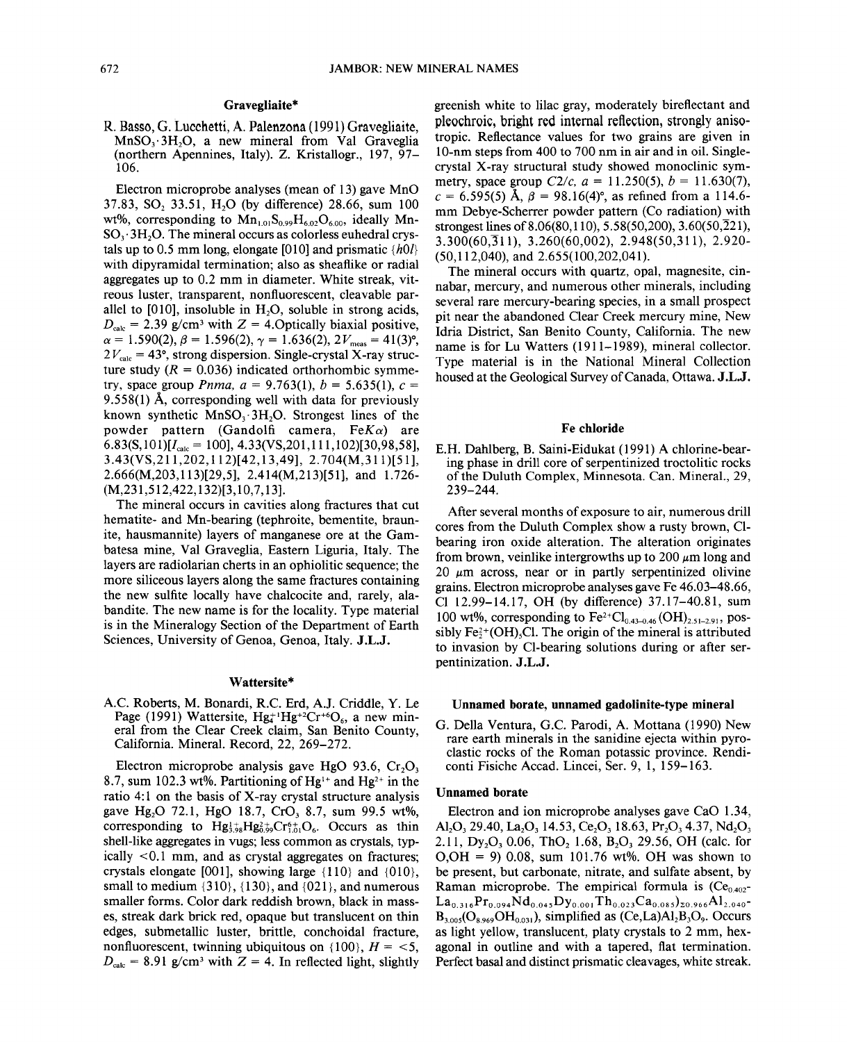## Gravegliaite\*

R. Basso, G. Lucchetti, A. Palenzona (1991) Gravegliaite,  $MnSO<sub>3</sub>·3H<sub>2</sub>O$ , a new mineral from Val Graveglia (northern Apennines, Italy). Z. Kristallogr., 197, 97- 106.

Electron microprobe analyses (mean of 13) gave MnO 37.83, SO, 33.51, H<sub>2</sub>O (by difference) 28.66, sum 100 wt%, corresponding to  $Mn_{1.01}S_{0.99}H_{6.02}O_{6.00}$ , ideally Mn- $SO_3$ : 3H<sub>2</sub>O. The mineral occurs as colorless euhedral crystals up to 0.5 mm long, elongate [010] and prismatic *{hOl}* with dipyramidal termination; also as sheaflike or radial aggregates up to 0.2 mm in diameter. White streak, vitreous luster, transparent, nonfluorescent, cleavable parallel to  $[010]$ , insoluble in H<sub>2</sub>O, soluble in strong acids,  $D_{\text{calc}} = 2.39$  g/cm<sup>3</sup> with  $Z = 4.0$  pitching biaxial positive  $\alpha = 1.590(2), \beta = 1.596(2), \gamma = 1.636(2), 2V_{\text{meas}} = 41(3)$ °  $2V_{\text{calc}} = 43^{\circ}$ , strong dispersion. Single-crystal X-ray structure study  $(R = 0.036)$  indicated orthorhombic symmetry, space group *Pnma*,  $a = 9.763(1)$ ,  $b = 5.635(1)$ ,  $c =$ 9.558(1) A, corresponding well with data for previously known synthetic  $MnSO<sub>3</sub>·3H<sub>2</sub>O$ . Strongest lines of the powder pattern (Gandolfi camera, *FeK a)* are  $6.83(S,101)[I_{\text{calc}} = 100], 4.33(VS,201,111,102)[30,98,58],$ 3.43(VS,211,202,112)[42,13,49], 2.704(M,311)[51], 2.666(M,203,113)[29,5], 2.414(M,213)[51], and 1.726- (M,231 ,512,422, 132)[3, 10,7,13].

The mineral occurs in cavities along fractures that cut hematite- and Mn-bearing (tephroite, bementite, braunite, hausmannite) layers of manganese ore at the Gambatesa mine, Val Graveglia, Eastern Liguria, Italy. The layers are radiolarian cherts in an ophiolitic sequence; the more siliceous layers along the same fractures containing the new sulfite locally have chalcocite and, rarely, alabandite. The new name is for the locality. Type material is in the Mineralogy Section of the Department of Earth Sciences, University of Genoa, Genoa, Italy. J.L.J.

#### Wattersite\*

AC. Roberts, M. Bonardi, R.c. Erd, AI. Criddle, Y. Le Page (1991) Wattersite,  $Hg_4^{+1}Hg_4^{+2}Cr_6$ , a new mineral from the Clear Creek claim, San Benito County, California. Mineral. Record, 22, 269-272.

Electron microprobe analysis gave HgO 93.6,  $Cr_2O_3$ 8.7, sum 102.3 wt%. Partitioning of Hg<sup>1+</sup> and Hg<sup>2+</sup> in the ratio 4:1 on the basis of X-ray crystal structure analysis gave Hg<sub>2</sub>O 72.1, HgO 18.7, CrO<sub>3</sub> 8.7, sum 99.5 wt%, corresponding to  $Hg_{1.68}^{1+}Hg_{1.66}^{2+}Cr_{1.1}^{6+}O_6$ . Occurs as thin shell-like aggregates in vugs; less common as crystals, typically <0.1 mm, and as crystal aggregates on fractures; crystals elongate [001], showing large  $\{110\}$  and  $\{010\}$ , small to medium  $\{310\}$ ,  $\{130\}$ , and  $\{021\}$ , and numerous smaller forms. Color dark reddish brown, black in masses, streak dark brick red, opaque but translucent on thin edges, submetallic luster, brittle, conchoidal fracture, nonfluorescent, twinning ubiquitous on  $\{100\}$ ,  $H = 5$ ,  $D_{\text{calc}} = 8.91$  g/cm<sup>3</sup> with  $Z = 4$ . In reflected light, slightly greenish white to lilac gray, moderately bireflectant and pleochroic, bright red internal reflection, strongly anisotropic. Reflectance values for two grains are given in lO-nm steps from 400 to 700 nm in air and in oil. Singlecrystal X-ray structural study showed monoclinic symmetry, space group  $C2/c$ ,  $a = 11.250(5)$ ,  $b = 11.630(7)$ ,  $c = 6.595(5)$  Å,  $\beta = 98.16(4)$ °, as refined from a 114.6mm Debye-Scherrer powder pattern (Co radiation) with strongest lines of 8.06(80, 110), 5.58(50, 200), 3.60(50,  $\overline{2}21$ ), 3.300(60,Jl1), 3.260(60,002), 2.948(50,311), 2.920- (50,112,040), and 2.655(100,202,041).

The mineral occurs with quartz, opal, magnesite, cinnabar, mercury, and numerous other minerals, including several rare mercury-bearing species, in a small prospect pit near the abandoned Clear Creek mercury mine, New Idria District, San Benito County, California. The new name is for Lu Watters (1911-1989), mineral collector. Type material is in the National Mineral Collection housed at the Geological Survey of Canada, Ottawa. J.L.J.

# Fe chloride

E.H. Dahlberg, B. Saini-Eidukat (1991) A chlorine-bearing phase in drill core of serpentinized troctolitic rocks of the Duluth Complex, Minnesota. Can. Mineral., 29, 239-244.

After several months of exposure to air, numerous drill cores from the Duluth Complex show a rusty brown, Clbearing iron oxide alteration. The alteration originates from brown, veinlike intergrowths up to 200  $\mu$ m long and 20  $\mu$ m across, near or in partly serpentinized olivine grains. Electron microprobe analyses gave Fe 46.03-48.66, Cl 12.99-14.17, OH (by difference) 37.17-40.81, sum 100 wt%, corresponding to  $Fe^{2+}Cl_{0.43-0.46} (OH)_{2.51-2.91}$ , possibly  $Fe<sup>2+</sup>(OH)$ <sub>s</sub>Cl. The origin of the mineral is attributed to invasion by Cl-bearing solutions during or after serpentinization. J.L.J.

#### Unnamed borate, unnamed gadolinite-type mineral

G. Della Ventura, G.c. Parodi, A Mottana (1990) New rare earth minerals in the sanidine ejecta within pyroclastic rocks of the Roman potassic province. Rendiconti Fisiche Accad. Lincei, Ser. 9, 1, 159-163.

## Unnamed borate

Electron and ion microprobe analyses gave CaO 1.34, Al<sub>2</sub>O<sub>3</sub> 29.40, La<sub>2</sub>O<sub>3</sub> 14.53, Ce<sub>2</sub>O<sub>3</sub> 18.63, Pr<sub>2</sub>O<sub>3</sub> 4.37, Nd<sub>2</sub>O<sub>3</sub> 2.11,  $Dy_2O_3$  0.06, ThO<sub>2</sub> 1.68, B<sub>2</sub>O<sub>3</sub> 29.56, OH (calc. for O,OH = 9) 0.08, sum 101.76 wt%. OH was shown to be present, but carbonate, nitrate, and sulfate absent, by Raman microprobe. The empirical formula is  $(Ce_{0.402}$ - $La_{0.316}Pr_{0.094}Nd_{0.045}Dy_{0.001}Th_{0.023}Ca_{0.085}$ <sub>20.966</sub>Al<sub>2.040</sub>- $B_{3.005}(O_{8.969}OH_{0.031})$ , simplified as  $(Ce, La)Al<sub>2</sub>B<sub>3</sub>O<sub>9</sub>$ . Occurs as light yellow, translucent, platy crystals to 2 mm, hexagonal in outline and with a tapered, flat termination. Perfect basal and distinct prismatic cleavages, white streak.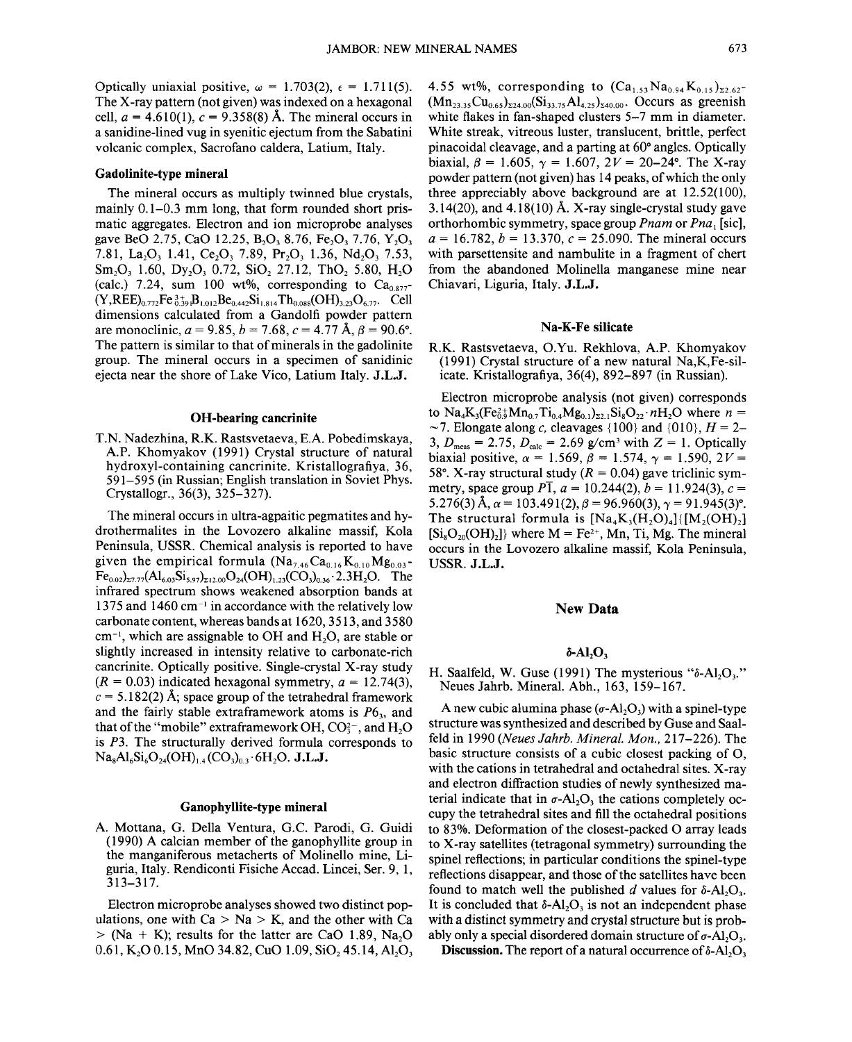Optically uniaxial positive,  $\omega = 1.703(2)$ ,  $\epsilon = 1.711(5)$ . The X-ray pattern (not given) was indexed on a hexagonal cell,  $a = 4.610(1)$ ,  $c = 9.358(8)$  Å. The mineral occurs in a sanidine-lined vug in syenitic ejectum from the Sabatini volcanic complex, Sacrofano caldera, Latium, Italy.

#### Gadolinite-type mineral

The mineral occurs as multiply twinned blue crystals, mainly 0.1-0.3 mm long, that form rounded short prismatic aggregates. Electron and ion microprobe analyses gave BeO 2.75, CaO 12.25, B<sub>2</sub>O<sub>3</sub> 8.76, Fe<sub>2</sub>O<sub>3</sub> 7.76, Y<sub>2</sub>O<sub>3</sub> 7.81, La<sub>2</sub>O<sub>3</sub> 1.41, Ce<sub>2</sub>O<sub>3</sub> 7.89, Pr<sub>2</sub>O<sub>3</sub> 1.36, Nd<sub>2</sub>O<sub>3</sub> 7.53,  $Sm_2O_3$  1.60, Dy<sub>2</sub>O<sub>3</sub> 0.72, SiO<sub>2</sub> 27.12, ThO<sub>2</sub> 5.80, H<sub>2</sub>O (calc.) 7.24, sum 100 wt%, corresponding to  $Ca<sub>0.877</sub>$  $(Y,REE)_{0.772}Fe_{0.39}^{3+}B_{1,012}Be_{0.442}Si_{1.814}Th_{0.088}(OH)_{3.23}O_{6.77}$ . Cell dimensions calculated from a Gandolfi powder pattern are monoclinic,  $a = 9.85$ ,  $b = 7.68$ ,  $c = 4.77$  Å,  $\beta = 90.6^{\circ}$ . The pattern is similar to that of minerals in the gadolinite group. The mineral occurs in a specimen of sanidinic ejecta near the shore of Lake Vico, Latium Italy. J.L.J.

#### OH-bearing cancrinite

T.N. Nadezhina, R.K. Rastsvetaeva, E.A. Pobedimskaya, A.P. Khomyakov (1991) Crystal structure of natural hydroxyl-containing cancrinite. Kristallografiya, 36, 591-595 (in Russian; English translation in Soviet Phys. Crystallogr., 36(3), 325-327).

The mineral occurs in ultra-agpaitic pegmatites and hydrothermalites in the Lovozero alkaline massif, Kola Peninsula, USSR. Chemical analysis is reported to have given the empirical formula  $(Na_{7.46}Ca_{0.16}K_{0.10}Mg_{0.03}$ - $Fe_{0.02})_{\Sigma7.77}(Al_{6.03}Si_{5.97})_{\Sigma12.00}O_{24}(OH)_{1.23}(CO_3)_{0.36}$  : 2.3H<sub>2</sub>O. The infrared spectrum shows weakened absorption bands at 1375 and 1460 cm $^{-1}$  in accordance with the relatively low carbonate content, whereas bands at 1620,3513, and 3580  $cm^{-1}$ , which are assignable to OH and H<sub>2</sub>O, are stable or slightly increased in intensity relative to carbonate-rich cancrinite. Optically positive. Single-crystal X-ray study  $(R = 0.03)$  indicated hexagonal symmetry,  $a = 12.74(3)$ ,  $c = 5.182(2)$  Å; space group of the tetrahedral framework and the fairly stable extraframework atoms is  $P6<sub>3</sub>$ , and that of the "mobile" extraframework OH,  $CO<sub>3</sub><sup>-</sup>$ , and H<sub>2</sub>O is *P3.* The structurally derived formula corresponds to  $Na_8Al_6Si_6O_{24}(OH)_{1.4}(CO_3)_0$ , 6H<sub>2</sub>O. J.L.J.

### Ganophyllite-type mineral

A. Mottana, G. Della Ventura, G.c. Parodi, G. Guidi (1990) A calcian member of the ganophyllite group in the manganiferous metacherts of Molinello mine, Liguria, Italy. Rendiconti Fisiche Accad. Lincei, Ser. 9, 1, 313-317.

Electron microprobe analyses showed two distinct populations, one with  $Ca > Na > K$ , and the other with Ca  $>$  (Na + K); results for the latter are CaO 1.89, Na<sub>2</sub>O 0.61, K<sub>2</sub>O 0.15, MnO 34.82, CuO 1.09, SiO<sub>2</sub> 45.14, Al<sub>2</sub>O<sub>3</sub>

4.55 wt%, corresponding to  $(Ca_{1,5}Na_{0.94}K_{0.15})_{z_2,62}$  $(Mn_{23.35}Cu_{0.65})_{\Sigma24.00} (Si_{33.75}Al_{4.25})_{\Sigma40.00}$ . Occurs as greenish white flakes in fan-shaped clusters 5–7 mm in diameter. White streak, vitreous luster, translucent, brittle, perfect pinacoidal cleavage, and a parting at 60° angles. Optically biaxial,  $\beta = 1.605$ ,  $\gamma = 1.607$ ,  $2V = 20-24$ °. The X-ray powder pattern (not given) has 14 peaks, of which the only three appreciably above background are at 12.52(100), 3.14(20), and 4.18(10) Å. X-ray single-crystal study gave orthorhombic symmetry, space group *Pnam* or *Pna*<sub>1</sub> [sic],  $a = 16.782$ ,  $b = 13.370$ ,  $c = 25.090$ . The mineral occurs with parsettensite and nambulite in a fragment of chert from the abandoned Molinella manganese mine near Chiavari, Liguria, Italy. J.L.J.

# Na-K-Fe silicate

R.K. Rastsvetaeva, O.Yu. Rekhlova, A.P. Khomyakov (1991) Crystal structure of a new natural Na,K,Fe-silicate. Kristallografiya, 36(4), 892-897 (in Russian).

Electron microprobe analysis (not given) corresponds to  $Na_4K_3(Fe_0^2\frac{1}{2}Mn_0T_1\frac{1}{2}Mg_0T_1)_{22}S_1SO_2$ <sup>2</sup>nH<sub>2</sub>O where  $n =$  $\sim$ 7. Elongate along *c*, cleavages {100} and {010}, *H* = 2-3,  $D_{\text{meas}} = 2.75$ ,  $D_{\text{calc}} = 2.69$  g/cm<sup>3</sup> with  $Z = 1$ . Optically biaxial positive,  $\alpha = 1.569$ ,  $\beta = 1.574$ ,  $\gamma = 1.590$ ,  $2V =$ 58°. X-ray structural study  $(R = 0.04)$  gave triclinic symmetry, space group  $P\bar{1}$ ,  $a = 10.244(2)$ ,  $b = 11.924(3)$ ,  $c =$ 5.276(3)  $\text{\AA}$ ,  $\alpha = 103.491(2)$ ,  $\beta = 96.960(3)$ ,  $\gamma = 91.945(3)$ °. The structural formula is  $[Na_{4}K_{2}(H_{2}O_{4})/(M_{2}(OH_{2})]$  $[Si_8O_{20}(OH)_2]$  where  $M = Fe^{2+}$ , Mn, Ti, Mg. The mineral occurs in the Lovozero alkaline massif, Kola Peninsula, USSR. J.L.J.

### New **Data**

# $\delta$ -Al<sub>2</sub>O<sub>3</sub>

H. Saalfeld, W. Guse (1991) The mysterious " $\delta$ -Al<sub>2</sub>O<sub>3</sub>." Neues Jahrb. Mineral. Abh., 163, 159-167.

A new cubic alumina phase  $(\sigma-A)$ <sub>2</sub>O<sub>3</sub>) with a spinel-type structure was synthesized and described by Guse and Saalfeld in 1990 *(Neues Jahrb. Mineral. Mon.,* 217-226). The basic structure consists of a cubic closest packing of 0, with the cations in tetrahedral and octahedral sites. X-ray and electron diffraction studies of newly synthesized material indicate that in  $\sigma$ -Al<sub>2</sub>O<sub>3</sub> the cations completely occupy the tetrahedral sites and fill the octahedral positions to 83%. Deformation of the closest-packed 0 array leads to X-ray satellites (tetragonal symmetry) surrounding the spinel reflections; in particular conditions the spinel-type reflections disappear, and those of the satellites have been found to match well the published *d* values for  $\delta$ -Al<sub>2</sub>O<sub>3</sub>. It is concluded that  $\delta$ -Al<sub>2</sub>O<sub>3</sub> is not an independent phase with a distinct symmetry and crystal structure but is probably only a special disordered domain structure of  $\sigma$ -Al<sub>2</sub>O<sub>3</sub>.

Discussion. The report of a natural occurrence of  $\delta$ -Al<sub>2</sub>O<sub>3</sub>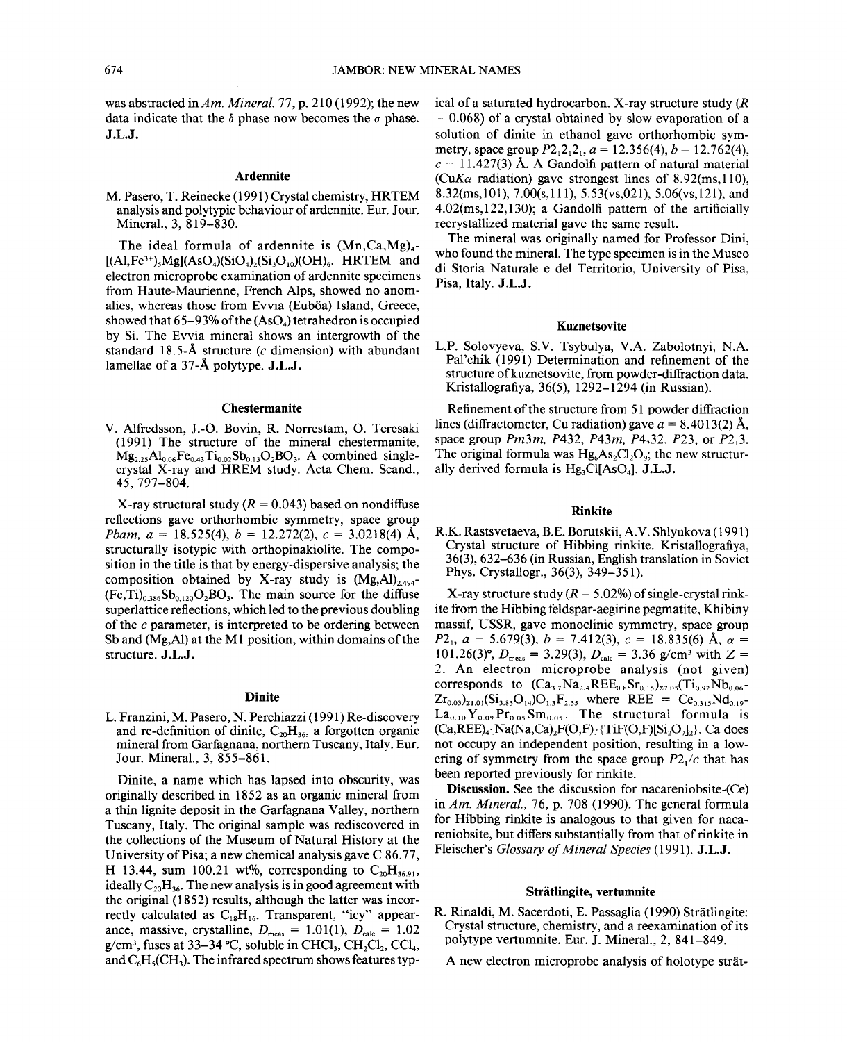was abstracted in *Am. Mineral.* 77, p. 210 (1992); the new data indicate that the  $\delta$  phase now becomes the  $\sigma$  phase. J.L.J.

#### Ardennite

M. Pasero, T. Reinecke (1991) Crystal chemistry, HRTEM analysis and polytypic behaviour of ardennite. Eur. Jour. Mineral., 3, 819-830.

The ideal formula of ardennite is  $(Mn, Ca, Mg)<sub>4</sub>$ - $[(A1,Fe^{3+}),Mg](AsO<sub>4</sub>)(SiO<sub>4</sub>)(Si<sub>1</sub>O<sub>10</sub>)(OH)<sub>6</sub>$ . HRTEM and electron microprobe examination of ardennite specimens from Haute-Maurienne, French Alps, showed no anomalies, whereas those from Evvia (Euböa) Island, Greece, showed that  $65-93\%$  of the  $(AsO<sub>4</sub>)$  tetrahedron is occupied by Si. The Evvia mineral shows an intergrowth of the standard 18.5-Å structure ( $c$  dimension) with abundant lamellae of a  $37-\AA$  polytype. J.L.J.

## Chestermanite

V. Alfredsson, J.-O. Bovin, R. Norrestam, O. Teresaki (1991) The structure of the mineral chestermanite,  $Mg_{2,25}Al_{0.06}Fe_{0.43}Ti_{0.02}Sb_{0.13}O_2BO_3$ . A combined singlecrystal X-ray and HREM study. Acta Chern. Scand., 45, 797-804.

X-ray structural study  $(R = 0.043)$  based on nondiffuse reflections gave orthorhombic symmetry, space group *Pbam.*  $a = 18.525(4)$ ,  $b = 12.272(2)$ ,  $c = 3.0218(4)$  Å, structurally isotypic with orthopinakiolite. The composition in the title is that by energy-dispersive analysis; the composition obtained by X-ray study is  $(Mg,Al)_{2.494}$ - $(Fe, Ti)_{0.386}Sb_{0.120}O_2BO_3$ . The main source for the diffuse superlattice reflections, which led to the previous doubling of the  $c$  parameter, is interpreted to be ordering between Sb and (Mg, Al) at the M1 position, within domains of the structure. J.L.J.

# Dinite

L. Franzini, M. Pasero, N. Perchiazzi (1991) Re-discovery and re-definition of dinite,  $C_{20}H_{36}$ , a forgotten organic mineral from Garfagnana, northern Tuscany, Italy. Eur. Jour. Mineral., 3, 855-861.

Dinite, a name which has lapsed into obscurity, was originally described in 1852 as an organic mineral from a thin lignite deposit in the Garfagnana Valley, northern Tuscany, Italy. The original sample was rediscovered in the collections of the Museum of Natural History at the University of Pisa; a new chemical analysis gave  $C$  86.77, H 13.44, sum 100.21 wt%, corresponding to  $C_{20}H_{36.91}$ , ideally  $C_{20}H_{36}$ . The new analysis is in good agreement with the original (1852) results, although the latter was incorrectly calculated as  $C_{18}H_{16}$ . Transparent, "icy" appearance, massive, crystalline,  $D_{\text{meas}} = 1.01(1), D_{\text{calc}} = 1.02$ g/cm<sup>3</sup>, fuses at 33–34 °C, soluble in CHCl<sub>3</sub>, CH<sub>2</sub>Cl<sub>2</sub>, CCl<sub>4</sub>, and  $C_6H_3(CH_3)$ . The infrared spectrum shows features typical of a saturated hydrocarbon. X-ray structure study (R)  $= 0.068$ ) of a crystal obtained by slow evaporation of a solution of dinite in ethanol gave orthorhombic symmetry, space group  $P2_12_12_1$ ,  $a = 12.356(4)$ ,  $b = 12.762(4)$ ,  $c = 11.427(3)$  Å. A Gandolfi pattern of natural material *(CuKa* radiation) gave strongest lines of 8.92 $(ms,110)$ , 8.32(ms,101), 7.00(s,111), 5.53(vs,021), 5.06(vs,121), and 4.02(ms, 122, 130); a Gandolfi pattern of the artificially recrystallized material gave the same result.

The mineral was originally named for Professor Dini, who found the mineral. The type specimen is in the Museo di Storia Naturale e del Territorio, University of Pisa, Pisa, Italy. J.L.J.

#### Kuznetsovite

L.P. Solovyeva, S.V. Tsybu1ya, V.A. Zabolotnyi, N.A. Pal'chik (1991) Determination and refinement of the structure of kuznetsovite, from powder-diffraction data. Kristallografiya, 36(5), 1292-1294 (in Russian).

Refinement of the structure from 51 powder diffraction lines (diffractometer, Cu radiation) gave  $a = 8.4013(2)$  Å, space group *Pm3m, P432, P* $\overline{4}3m$ , *P4<sub>3</sub>3*, *P23*, or *P2<sub>1</sub>3*. The original formula was  $Hg<sub>6</sub>As<sub>2</sub>Cl<sub>2</sub>O<sub>9</sub>$ ; the new structurally derived formula is  $Hg_3Cl[AsO_4]$ . J.L.J.

# Rinkite

R.K. Rastsvetaeva, RE. Borutskii, A.V. Shlyukova (1991) Crystal structure of Hibbing rinkite. Kristallografiya, 36(3), 632-636 (in Russian, English translation in Soviet Phys. Crystallogr., 36(3), 349-351).

X-ray structure study  $(R = 5.02\%)$  of single-crystal rinkite from the Hibbing feldspar-aegirine pegmatite, Khibiny massif, USSR, gave monoclinic symmetry, space group  $P2_1$ ,  $a = 5.679(3)$ ,  $b = 7.412(3)$ ,  $c = 18.835(6)$  Å,  $\alpha =$ 101.26(3)°,  $D_{\text{meas}} = 3.29(3)$ ,  $D_{\text{calc}} = 3.36$  g/cm<sup>3</sup> with Z = 2. An electron microprobe analysis (not given) corresponds to  $(Ca_{3.7}Na_{2.4}REE_{0.8}Sr_{0.15})_{27.05}(Ti_{0.92}Nb_{0.06} Zr_{0.03}$ <sub>21.01</sub>(Si<sub>3.85</sub>O<sub>14</sub>)O<sub>1.3</sub>F<sub>2.55</sub> where REE = Ce<sub>0.315</sub>Nd<sub>0.1</sub>  $\text{La}_{0.10}\text{Y}_{0.09}\text{Pr}_{0.05}\text{Sm}_{0.05}$ . The structural formula is  $(Ca,REE)_4\{Na(Na, Ca), F(O, F)\}$  {TiF(O,F)[Si<sub>2</sub>O<sub>7</sub>]<sub>2</sub>}. Ca does not occupy an independent position, resulting in a lowering of symmetry from the space group *P2/c* that has been reported previously for rinkite.

Discussion. See the discussion for nacareniobsite-(Ce) in *Am. Mineral.,* 76, p. 708 (1990). The general formula for Hibbing rinkite is analogous to that given for nacareniobsite, but differs substantially from that of rinkite in Fleischer's *Glossary of Mineral Species* (1991). J.L.J.

#### Stratlingite, vertumnite

R. Rinaldi, M. Sacerdoti, E. Passaglia (1990) Stratlingite: Crystal structure, chemistry, and a reexamination of its polytype vertumnite. Eur. J. Mineral., 2, 841-849.

A new electron microprobe analysis of holotype strat-